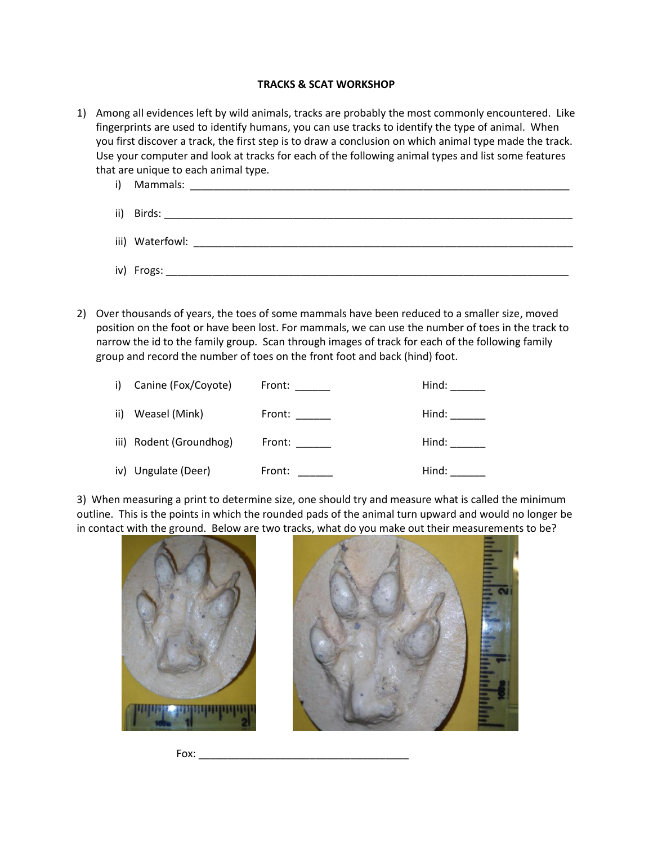## **TRACKS & SCAT WORKSHOP**

- 1) Among all evidences left by wild animals, tracks are probably the most commonly encountered. Like fingerprints are used to identify humans, you can use tracks to identify the type of animal. When you first discover a track, the first step is to draw a conclusion on which animal type made the track. Use your computer and look at tracks for each of the following animal types and list some features that are unique to each animal type.
	- i) Mammals: ii) Birds: \_\_\_\_\_\_\_\_\_\_\_\_\_\_\_\_\_\_\_\_\_\_\_\_\_\_\_\_\_\_\_\_\_\_\_\_\_\_\_\_\_\_\_\_\_\_\_\_\_\_\_\_\_\_\_\_\_\_\_\_\_\_\_\_\_\_\_\_\_\_ iii) Waterfowl: \_\_\_\_\_\_\_\_\_\_\_\_\_\_\_\_\_\_\_\_\_\_\_\_\_\_\_\_\_\_\_\_\_\_\_\_\_\_\_\_\_\_\_\_\_\_\_\_\_\_\_\_\_\_\_\_\_\_\_\_\_\_\_\_\_ iv) Frogs: \_\_\_\_\_\_\_\_\_\_\_\_\_\_\_\_\_\_\_\_\_\_\_\_\_\_\_\_\_\_\_\_\_\_\_\_\_\_\_\_\_\_\_\_\_\_\_\_\_\_\_\_\_\_\_\_\_\_\_\_\_\_\_\_\_\_\_\_\_
- 2) Over thousands of years, the toes of some mammals have been reduced to a smaller size, moved position on the foot or have been lost. For mammals, we can use the number of toes in the track to narrow the id to the family group. Scan through images of track for each of the following family group and record the number of toes on the front foot and back (hind) foot.

| i) Canine (Fox/Coyote)  | Front: $\qquad \qquad$                                                                                                                                                                                                         | Hind: The Management of the Management of the Management of the Management of the Management of the Management of the Management of the Management of the Management of the Management of the Management of the Management of |
|-------------------------|--------------------------------------------------------------------------------------------------------------------------------------------------------------------------------------------------------------------------------|-------------------------------------------------------------------------------------------------------------------------------------------------------------------------------------------------------------------------------|
| ii) Weasel (Mink)       | Front: The contract of the contract of the contract of the contract of the contract of the contract of the contract of the contract of the contract of the contract of the contract of the contract of the contract of the con | Hind:                                                                                                                                                                                                                         |
| iii) Rodent (Groundhog) | Front: $\frac{1}{\sqrt{1-\frac{1}{2}}\cdot\frac{1}{2}}$                                                                                                                                                                        | Hind: The Monday of the Monday of the Monday of the Monday of the Monday of the Monday of the Monday of the Mo                                                                                                                |
| iv) Ungulate (Deer)     | Front:                                                                                                                                                                                                                         | Hind:                                                                                                                                                                                                                         |

3) When measuring a print to determine size, one should try and measure what is called the minimum outline. This is the points in which the rounded pads of the animal turn upward and would no longer be in contact with the ground. Below are two tracks, what do you make out their measurements to be?



 $Fox:$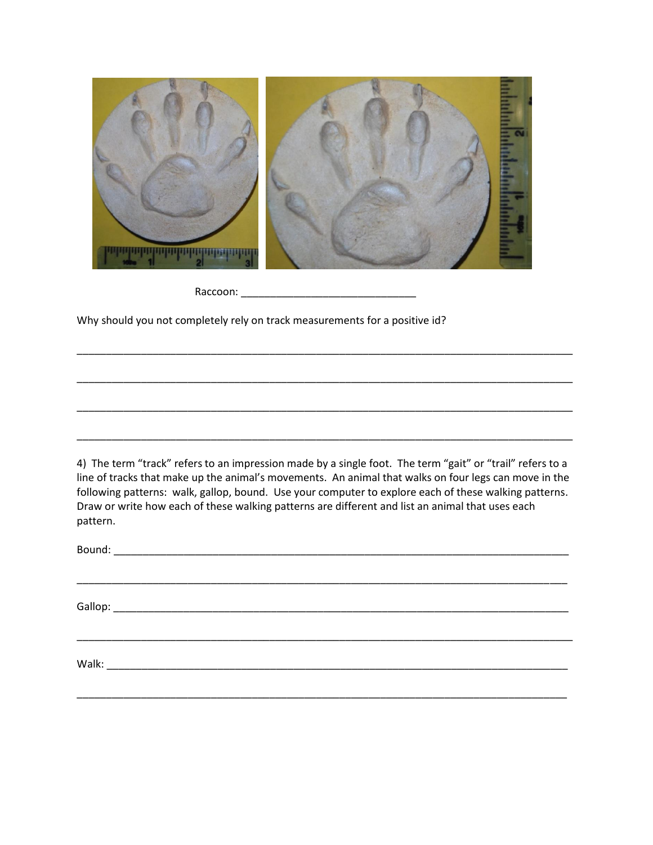

Raccoon: \_\_\_\_\_\_\_\_\_\_\_\_\_\_\_\_\_\_\_\_\_\_\_\_\_\_\_\_\_\_

Why should you not completely rely on track measurements for a positive id?

4) The term "track" refers to an impression made by a single foot. The term "gait" or "trail" refers to a line of tracks that make up the animal's movements. An animal that walks on four legs can move in the following patterns: walk, gallop, bound. Use your computer to explore each of these walking patterns. Draw or write how each of these walking patterns are different and list an animal that uses each pattern.

\_\_\_\_\_\_\_\_\_\_\_\_\_\_\_\_\_\_\_\_\_\_\_\_\_\_\_\_\_\_\_\_\_\_\_\_\_\_\_\_\_\_\_\_\_\_\_\_\_\_\_\_\_\_\_\_\_\_\_\_\_\_\_\_\_\_\_\_\_\_\_\_\_\_\_\_\_\_\_\_\_\_\_\_\_

\_\_\_\_\_\_\_\_\_\_\_\_\_\_\_\_\_\_\_\_\_\_\_\_\_\_\_\_\_\_\_\_\_\_\_\_\_\_\_\_\_\_\_\_\_\_\_\_\_\_\_\_\_\_\_\_\_\_\_\_\_\_\_\_\_\_\_\_\_\_\_\_\_\_\_\_\_\_\_\_\_\_\_\_

\_\_\_\_\_\_\_\_\_\_\_\_\_\_\_\_\_\_\_\_\_\_\_\_\_\_\_\_\_\_\_\_\_\_\_\_\_\_\_\_\_\_\_\_\_\_\_\_\_\_\_\_\_\_\_\_\_\_\_\_\_\_\_\_\_\_\_\_\_\_\_\_\_\_\_\_\_\_\_\_\_\_\_\_

\_\_\_\_\_\_\_\_\_\_\_\_\_\_\_\_\_\_\_\_\_\_\_\_\_\_\_\_\_\_\_\_\_\_\_\_\_\_\_\_\_\_\_\_\_\_\_\_\_\_\_\_\_\_\_\_\_\_\_\_\_\_\_\_\_\_\_\_\_\_\_\_\_\_\_\_\_\_\_\_\_\_\_\_\_

\_\_\_\_\_\_\_\_\_\_\_\_\_\_\_\_\_\_\_\_\_\_\_\_\_\_\_\_\_\_\_\_\_\_\_\_\_\_\_\_\_\_\_\_\_\_\_\_\_\_\_\_\_\_\_\_\_\_\_\_\_\_\_\_\_\_\_\_\_\_\_\_\_\_\_\_\_\_\_\_\_\_\_\_\_

\_\_\_\_\_\_\_\_\_\_\_\_\_\_\_\_\_\_\_\_\_\_\_\_\_\_\_\_\_\_\_\_\_\_\_\_\_\_\_\_\_\_\_\_\_\_\_\_\_\_\_\_\_\_\_\_\_\_\_\_\_\_\_\_\_\_\_\_\_\_\_\_\_\_\_\_\_\_\_\_\_\_\_\_\_

\_\_\_\_\_\_\_\_\_\_\_\_\_\_\_\_\_\_\_\_\_\_\_\_\_\_\_\_\_\_\_\_\_\_\_\_\_\_\_\_\_\_\_\_\_\_\_\_\_\_\_\_\_\_\_\_\_\_\_\_\_\_\_\_\_\_\_\_\_\_\_\_\_\_\_\_\_\_\_\_\_\_\_\_\_

Bound:  $\Box$ 

Gallop: \_\_\_\_\_\_\_\_\_\_\_\_\_\_\_\_\_\_\_\_\_\_\_\_\_\_\_\_\_\_\_\_\_\_\_\_\_\_\_\_\_\_\_\_\_\_\_\_\_\_\_\_\_\_\_\_\_\_\_\_\_\_\_\_\_\_\_\_\_\_\_\_\_\_\_\_\_\_

Walk: \_\_\_\_\_\_\_\_\_\_\_\_\_\_\_\_\_\_\_\_\_\_\_\_\_\_\_\_\_\_\_\_\_\_\_\_\_\_\_\_\_\_\_\_\_\_\_\_\_\_\_\_\_\_\_\_\_\_\_\_\_\_\_\_\_\_\_\_\_\_\_\_\_\_\_\_\_\_\_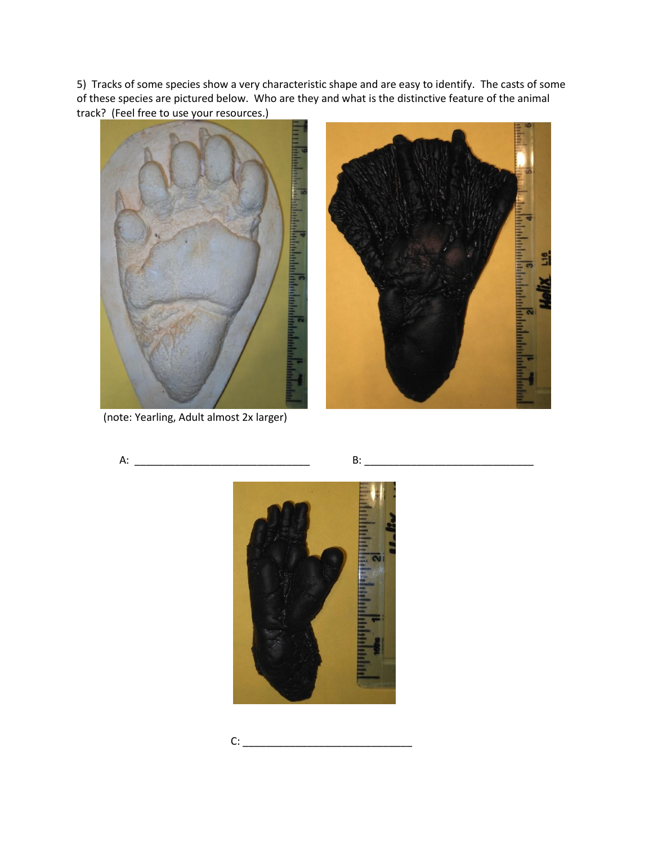5) Tracks of some species show a very characteristic shape and are easy to identify. The casts of some of these species are pictured below. Who are they and what is the distinctive feature of the animal track? (Feel free to use your resources.)





(note: Yearling, Adult almost 2x larger)

A: \_\_\_\_\_\_\_\_\_\_\_\_\_\_\_\_\_\_\_\_\_\_\_\_\_\_\_\_\_\_ B: \_\_\_\_\_\_\_\_\_\_\_\_\_\_\_\_\_\_\_\_\_\_\_\_\_\_\_\_\_



$$
\mathsf{C:}\underbrace{\hspace{2.5cm}}_{\rule{2.5cm}{0.2cm} \text{---}}\underbrace{\hspace{2.5cm}}_{\rule{2.5cm}{0.2cm} \text{---}}
$$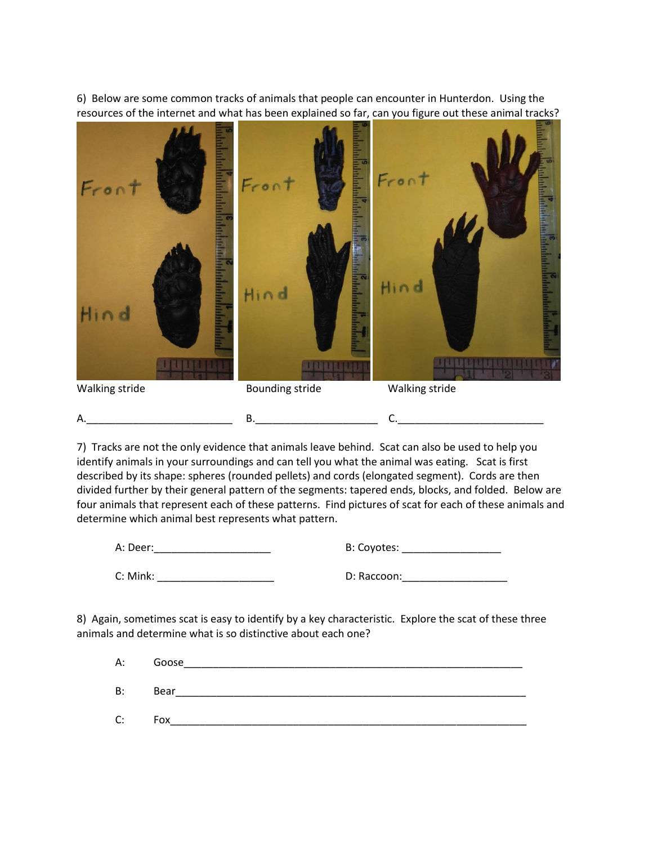6) Below are some common tracks of animals that people can encounter in Hunterdon. Using the resources of the internet and what has been explained so far, can you figure out these animal tracks?

 $\sim$ Fron Hin d Hin d  $\ln 0$ *SUBJECTS DE LA BATA* Walking stride **Bounding stride** Walking stride A. 2008. The contract of the B. 2008. The contract of the contract of the contract of the contract of the contract of the contract of the contract of the contract of the contract of the contract of the contract of the cont

7) Tracks are not the only evidence that animals leave behind. Scat can also be used to help you identify animals in your surroundings and can tell you what the animal was eating. Scat is first described by its shape: spheres (rounded pellets) and cords (elongated segment). Cords are then divided further by their general pattern of the segments: tapered ends, blocks, and folded. Below are four animals that represent each of these patterns. Find pictures of scat for each of these animals and determine which animal best represents what pattern.

| A: Deer: | B: Coyotes: |
|----------|-------------|
| C: Mink: | D: Raccoon: |

8) Again, sometimes scat is easy to identify by a key characteristic. Explore the scat of these three animals and determine what is so distinctive about each one?

A: Goose\_\_\_\_\_\_\_\_\_\_\_\_\_\_\_\_\_\_\_\_\_\_\_\_\_\_\_\_\_\_\_\_\_\_\_\_\_\_\_\_\_\_\_\_\_\_\_\_\_\_\_\_\_\_\_\_\_\_ B: Bear\_\_\_\_\_\_\_\_\_\_\_\_\_\_\_\_\_\_\_\_\_\_\_\_\_\_\_\_\_\_\_\_\_\_\_\_\_\_\_\_\_\_\_\_\_\_\_\_\_\_\_\_\_\_\_\_\_\_\_\_ C: Fox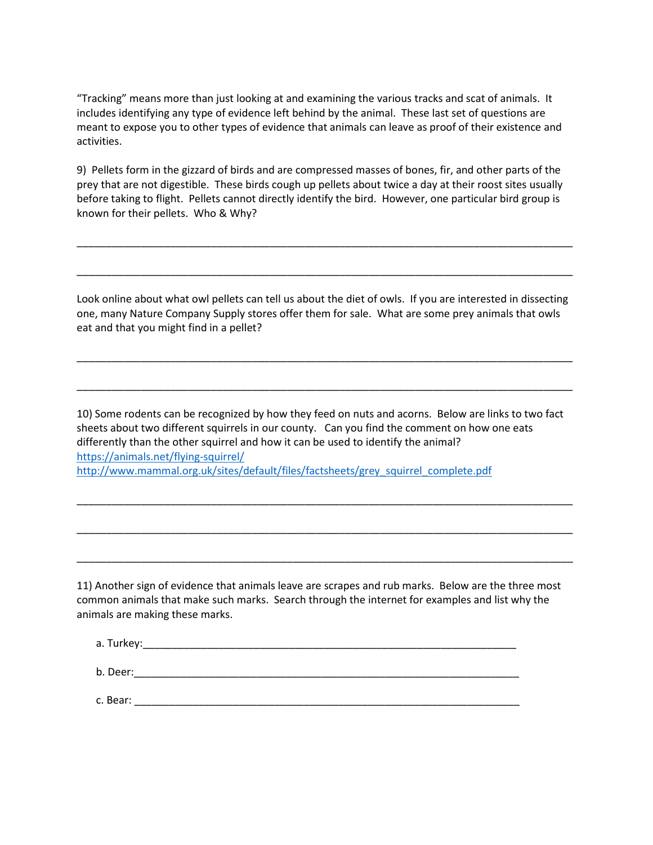"Tracking" means more than just looking at and examining the various tracks and scat of animals. It includes identifying any type of evidence left behind by the animal. These last set of questions are meant to expose you to other types of evidence that animals can leave as proof of their existence and activities.

9) Pellets form in the gizzard of birds and are compressed masses of bones, fir, and other parts of the prey that are not digestible. These birds cough up pellets about twice a day at their roost sites usually before taking to flight. Pellets cannot directly identify the bird. However, one particular bird group is known for their pellets. Who & Why?

\_\_\_\_\_\_\_\_\_\_\_\_\_\_\_\_\_\_\_\_\_\_\_\_\_\_\_\_\_\_\_\_\_\_\_\_\_\_\_\_\_\_\_\_\_\_\_\_\_\_\_\_\_\_\_\_\_\_\_\_\_\_\_\_\_\_\_\_\_\_\_\_\_\_\_\_\_\_\_\_\_\_\_\_\_

\_\_\_\_\_\_\_\_\_\_\_\_\_\_\_\_\_\_\_\_\_\_\_\_\_\_\_\_\_\_\_\_\_\_\_\_\_\_\_\_\_\_\_\_\_\_\_\_\_\_\_\_\_\_\_\_\_\_\_\_\_\_\_\_\_\_\_\_\_\_\_\_\_\_\_\_\_\_\_\_\_\_\_\_\_

Look online about what owl pellets can tell us about the diet of owls. If you are interested in dissecting one, many Nature Company Supply stores offer them for sale. What are some prey animals that owls eat and that you might find in a pellet?

\_\_\_\_\_\_\_\_\_\_\_\_\_\_\_\_\_\_\_\_\_\_\_\_\_\_\_\_\_\_\_\_\_\_\_\_\_\_\_\_\_\_\_\_\_\_\_\_\_\_\_\_\_\_\_\_\_\_\_\_\_\_\_\_\_\_\_\_\_\_\_\_\_\_\_\_\_\_\_\_\_\_\_\_\_

\_\_\_\_\_\_\_\_\_\_\_\_\_\_\_\_\_\_\_\_\_\_\_\_\_\_\_\_\_\_\_\_\_\_\_\_\_\_\_\_\_\_\_\_\_\_\_\_\_\_\_\_\_\_\_\_\_\_\_\_\_\_\_\_\_\_\_\_\_\_\_\_\_\_\_\_\_\_\_\_\_\_\_\_\_

10) Some rodents can be recognized by how they feed on nuts and acorns. Below are links to two fact sheets about two different squirrels in our county. Can you find the comment on how one eats differently than the other squirrel and how it can be used to identify the animal? <https://animals.net/flying-squirrel/> [http://www.mammal.org.uk/sites/default/files/factsheets/grey\\_squirrel\\_complete.pdf](http://www.mammal.org.uk/sites/default/files/factsheets/grey_squirrel_complete.pdf)

\_\_\_\_\_\_\_\_\_\_\_\_\_\_\_\_\_\_\_\_\_\_\_\_\_\_\_\_\_\_\_\_\_\_\_\_\_\_\_\_\_\_\_\_\_\_\_\_\_\_\_\_\_\_\_\_\_\_\_\_\_\_\_\_\_\_\_\_\_\_\_\_\_\_\_\_\_\_\_\_\_\_\_\_\_

\_\_\_\_\_\_\_\_\_\_\_\_\_\_\_\_\_\_\_\_\_\_\_\_\_\_\_\_\_\_\_\_\_\_\_\_\_\_\_\_\_\_\_\_\_\_\_\_\_\_\_\_\_\_\_\_\_\_\_\_\_\_\_\_\_\_\_\_\_\_\_\_\_\_\_\_\_\_\_\_\_\_\_\_\_

\_\_\_\_\_\_\_\_\_\_\_\_\_\_\_\_\_\_\_\_\_\_\_\_\_\_\_\_\_\_\_\_\_\_\_\_\_\_\_\_\_\_\_\_\_\_\_\_\_\_\_\_\_\_\_\_\_\_\_\_\_\_\_\_\_\_\_\_\_\_\_\_\_\_\_\_\_\_\_\_\_\_\_\_\_

11) Another sign of evidence that animals leave are scrapes and rub marks. Below are the three most common animals that make such marks. Search through the internet for examples and list why the animals are making these marks.

| a. Turkey:_ |  |
|-------------|--|
| b. Deer:    |  |

c. Bear: \_\_\_\_\_\_\_\_\_\_\_\_\_\_\_\_\_\_\_\_\_\_\_\_\_\_\_\_\_\_\_\_\_\_\_\_\_\_\_\_\_\_\_\_\_\_\_\_\_\_\_\_\_\_\_\_\_\_\_\_\_\_\_\_\_\_